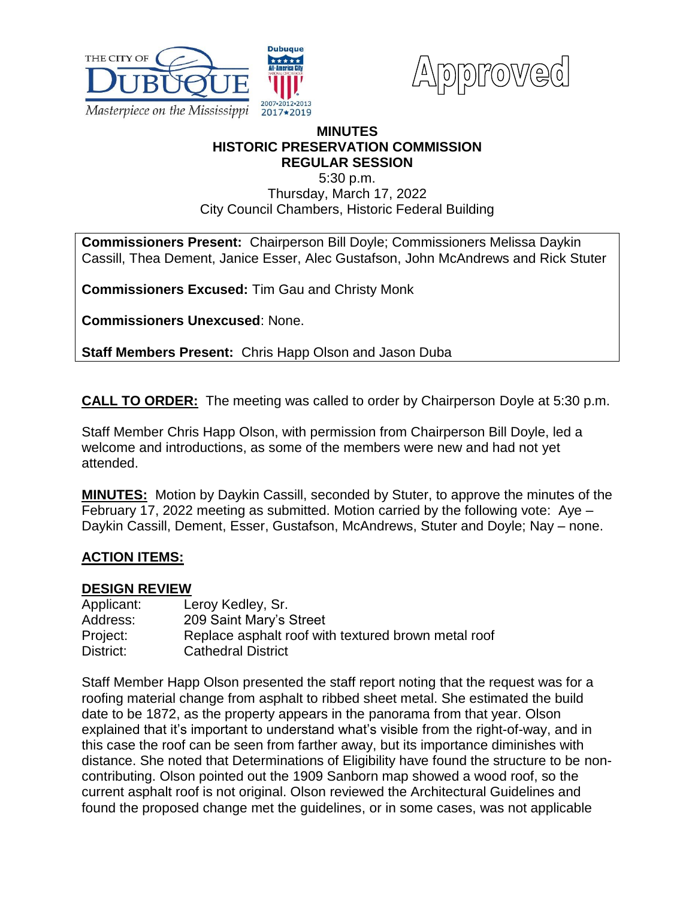



## **MINUTES HISTORIC PRESERVATION COMMISSION REGULAR SESSION**

5:30 p.m.

Thursday, March 17, 2022 City Council Chambers, Historic Federal Building

**Commissioners Present:** Chairperson Bill Doyle; Commissioners Melissa Daykin Cassill, Thea Dement, Janice Esser, Alec Gustafson, John McAndrews and Rick Stuter

**Commissioners Excused:** Tim Gau and Christy Monk

**Commissioners Unexcused**: None.

**Staff Members Present:** Chris Happ Olson and Jason Duba

**CALL TO ORDER:** The meeting was called to order by Chairperson Doyle at 5:30 p.m.

Staff Member Chris Happ Olson, with permission from Chairperson Bill Doyle, led a welcome and introductions, as some of the members were new and had not yet attended.

**MINUTES:** Motion by Daykin Cassill, seconded by Stuter, to approve the minutes of the February 17, 2022 meeting as submitted. Motion carried by the following vote: Aye – Daykin Cassill, Dement, Esser, Gustafson, McAndrews, Stuter and Doyle; Nay – none.

# **ACTION ITEMS:**

## **DESIGN REVIEW**

| Applicant: | Leroy Kedley, Sr.                                   |
|------------|-----------------------------------------------------|
| Address:   | 209 Saint Mary's Street                             |
| Project:   | Replace asphalt roof with textured brown metal roof |
| District:  | <b>Cathedral District</b>                           |

Staff Member Happ Olson presented the staff report noting that the request was for a roofing material change from asphalt to ribbed sheet metal. She estimated the build date to be 1872, as the property appears in the panorama from that year. Olson explained that it's important to understand what's visible from the right-of-way, and in this case the roof can be seen from farther away, but its importance diminishes with distance. She noted that Determinations of Eligibility have found the structure to be noncontributing. Olson pointed out the 1909 Sanborn map showed a wood roof, so the current asphalt roof is not original. Olson reviewed the Architectural Guidelines and found the proposed change met the guidelines, or in some cases, was not applicable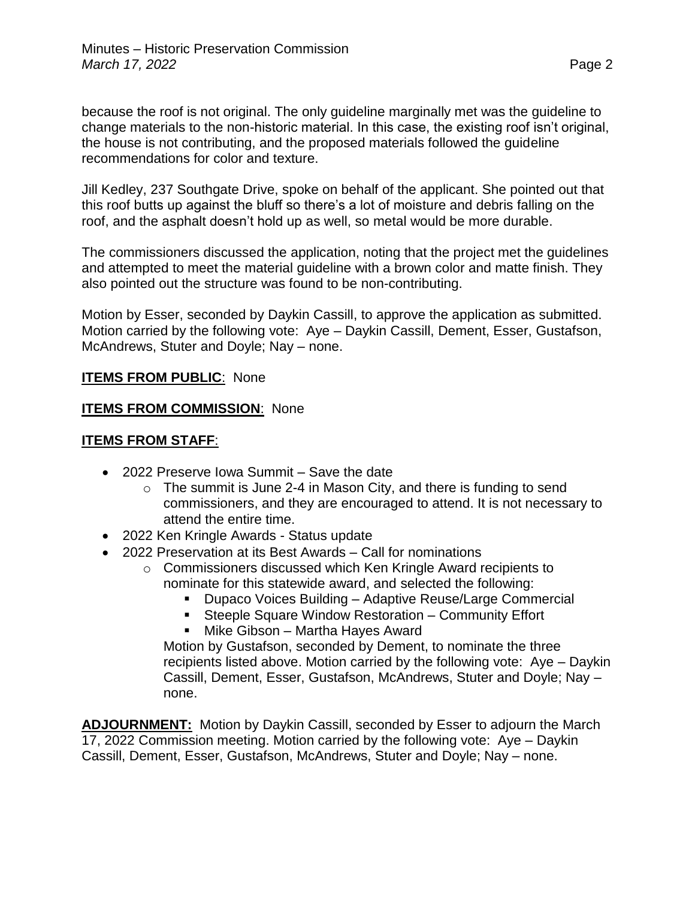because the roof is not original. The only guideline marginally met was the guideline to change materials to the non-historic material. In this case, the existing roof isn't original, the house is not contributing, and the proposed materials followed the guideline recommendations for color and texture.

Jill Kedley, 237 Southgate Drive, spoke on behalf of the applicant. She pointed out that this roof butts up against the bluff so there's a lot of moisture and debris falling on the roof, and the asphalt doesn't hold up as well, so metal would be more durable.

The commissioners discussed the application, noting that the project met the guidelines and attempted to meet the material guideline with a brown color and matte finish. They also pointed out the structure was found to be non-contributing.

Motion by Esser, seconded by Daykin Cassill, to approve the application as submitted. Motion carried by the following vote: Aye – Daykin Cassill, Dement, Esser, Gustafson, McAndrews, Stuter and Doyle; Nay – none.

## **ITEMS FROM PUBLIC**: None

## **ITEMS FROM COMMISSION**: None

## **ITEMS FROM STAFF**:

- 2022 Preserve Iowa Summit Save the date
	- $\circ$  The summit is June 2-4 in Mason City, and there is funding to send commissioners, and they are encouraged to attend. It is not necessary to attend the entire time.
- 2022 Ken Kringle Awards Status update
- 2022 Preservation at its Best Awards Call for nominations
	- o Commissioners discussed which Ken Kringle Award recipients to nominate for this statewide award, and selected the following:
		- Dupaco Voices Building Adaptive Reuse/Large Commercial
		- Steeple Square Window Restoration Community Effort ■ Mike Gibson – Martha Hayes Award

Motion by Gustafson, seconded by Dement, to nominate the three recipients listed above. Motion carried by the following vote: Aye – Daykin Cassill, Dement, Esser, Gustafson, McAndrews, Stuter and Doyle; Nay – none.

**ADJOURNMENT:** Motion by Daykin Cassill, seconded by Esser to adjourn the March 17, 2022 Commission meeting. Motion carried by the following vote: Aye – Daykin Cassill, Dement, Esser, Gustafson, McAndrews, Stuter and Doyle; Nay – none.